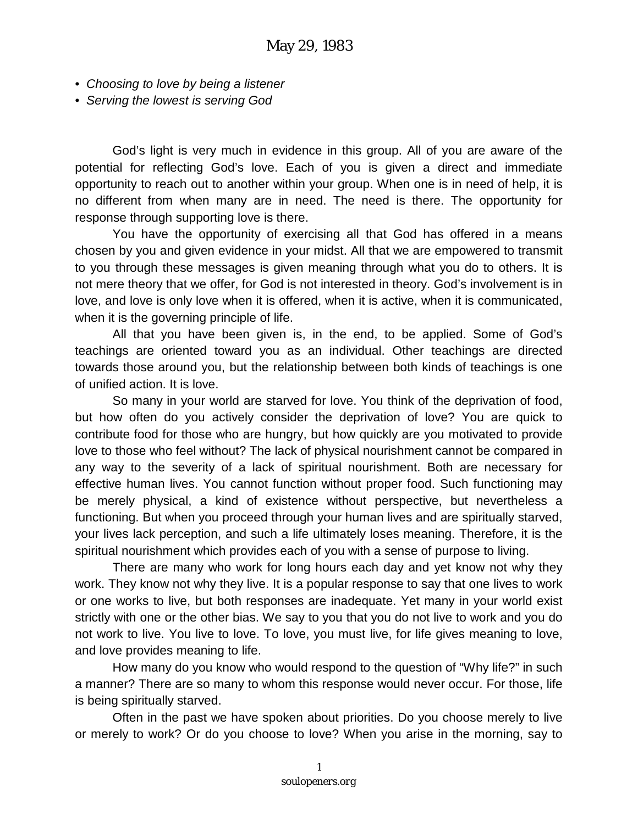- *Choosing to love by being a listener*
- *Serving the lowest is serving God*

God's light is very much in evidence in this group. All of you are aware of the potential for reflecting God's love. Each of you is given a direct and immediate opportunity to reach out to another within your group. When one is in need of help, it is no different from when many are in need. The need is there. The opportunity for response through supporting love is there.

You have the opportunity of exercising all that God has offered in a means chosen by you and given evidence in your midst. All that we are empowered to transmit to you through these messages is given meaning through what you do to others. It is not mere theory that we offer, for God is not interested in theory. God's involvement is in love, and love is only love when it is offered, when it is active, when it is communicated, when it is the governing principle of life.

All that you have been given is, in the end, to be applied. Some of God's teachings are oriented toward you as an individual. Other teachings are directed towards those around you, but the relationship between both kinds of teachings is one of unified action. It is love.

So many in your world are starved for love. You think of the deprivation of food, but how often do you actively consider the deprivation of love? You are quick to contribute food for those who are hungry, but how quickly are you motivated to provide love to those who feel without? The lack of physical nourishment cannot be compared in any way to the severity of a lack of spiritual nourishment. Both are necessary for effective human lives. You cannot function without proper food. Such functioning may be merely physical, a kind of existence without perspective, but nevertheless a functioning. But when you proceed through your human lives and are spiritually starved, your lives lack perception, and such a life ultimately loses meaning. Therefore, it is the spiritual nourishment which provides each of you with a sense of purpose to living.

There are many who work for long hours each day and yet know not why they work. They know not why they live. It is a popular response to say that one lives to work or one works to live, but both responses are inadequate. Yet many in your world exist strictly with one or the other bias. We say to you that you do not live to work and you do not work to live. You live to love. To love, you must live, for life gives meaning to love, and love provides meaning to life.

How many do you know who would respond to the question of "Why life?" in such a manner? There are so many to whom this response would never occur. For those, life is being spiritually starved.

Often in the past we have spoken about priorities. Do you choose merely to live or merely to work? Or do you choose to love? When you arise in the morning, say to